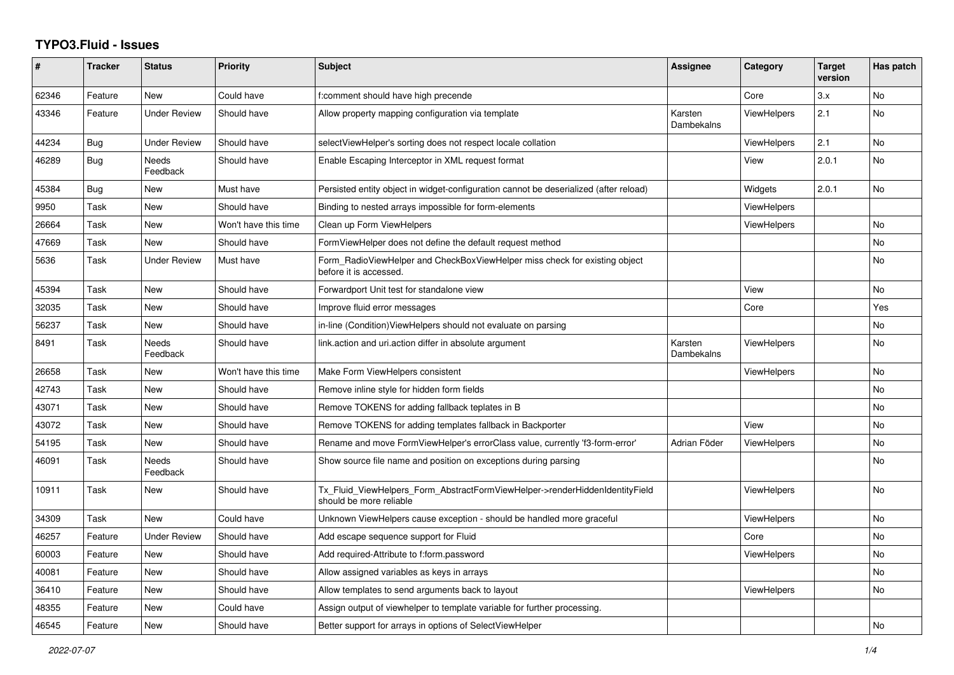## **TYPO3.Fluid - Issues**

| #     | <b>Tracker</b> | <b>Status</b>            | <b>Priority</b>      | <b>Subject</b>                                                                                         | <b>Assignee</b>       | Category           | <b>Target</b><br>version | Has patch |
|-------|----------------|--------------------------|----------------------|--------------------------------------------------------------------------------------------------------|-----------------------|--------------------|--------------------------|-----------|
| 62346 | Feature        | <b>New</b>               | Could have           | f:comment should have high precende                                                                    |                       | Core               | 3.x                      | No        |
| 43346 | Feature        | <b>Under Review</b>      | Should have          | Allow property mapping configuration via template                                                      | Karsten<br>Dambekalns | <b>ViewHelpers</b> | 2.1                      | No        |
| 44234 | Bug            | <b>Under Review</b>      | Should have          | selectViewHelper's sorting does not respect locale collation                                           |                       | <b>ViewHelpers</b> | 2.1                      | <b>No</b> |
| 46289 | Bug            | Needs<br>Feedback        | Should have          | Enable Escaping Interceptor in XML request format                                                      |                       | View               | 2.0.1                    | No        |
| 45384 | Bug            | New                      | Must have            | Persisted entity object in widget-configuration cannot be deserialized (after reload)                  |                       | Widgets            | 2.0.1                    | No        |
| 9950  | Task           | New                      | Should have          | Binding to nested arrays impossible for form-elements                                                  |                       | <b>ViewHelpers</b> |                          |           |
| 26664 | Task           | <b>New</b>               | Won't have this time | Clean up Form ViewHelpers                                                                              |                       | <b>ViewHelpers</b> |                          | No        |
| 47669 | Task           | New                      | Should have          | FormViewHelper does not define the default request method                                              |                       |                    |                          | No        |
| 5636  | Task           | Under Review             | Must have            | Form RadioViewHelper and CheckBoxViewHelper miss check for existing object<br>before it is accessed.   |                       |                    |                          | No        |
| 45394 | Task           | New                      | Should have          | Forwardport Unit test for standalone view                                                              |                       | View               |                          | No        |
| 32035 | Task           | New                      | Should have          | Improve fluid error messages                                                                           |                       | Core               |                          | Yes       |
| 56237 | Task           | <b>New</b>               | Should have          | in-line (Condition) View Helpers should not evaluate on parsing                                        |                       |                    |                          | No        |
| 8491  | Task           | <b>Needs</b><br>Feedback | Should have          | link.action and uri.action differ in absolute argument                                                 | Karsten<br>Dambekalns | <b>ViewHelpers</b> |                          | No        |
| 26658 | Task           | New                      | Won't have this time | Make Form ViewHelpers consistent                                                                       |                       | <b>ViewHelpers</b> |                          | No        |
| 42743 | Task           | <b>New</b>               | Should have          | Remove inline style for hidden form fields                                                             |                       |                    |                          | No        |
| 43071 | Task           | New                      | Should have          | Remove TOKENS for adding fallback teplates in B                                                        |                       |                    |                          | No        |
| 43072 | Task           | <b>New</b>               | Should have          | Remove TOKENS for adding templates fallback in Backporter                                              |                       | View               |                          | No        |
| 54195 | Task           | New                      | Should have          | Rename and move FormViewHelper's errorClass value, currently 'f3-form-error'                           | Adrian Föder          | ViewHelpers        |                          | No        |
| 46091 | Task           | <b>Needs</b><br>Feedback | Should have          | Show source file name and position on exceptions during parsing                                        |                       |                    |                          | No        |
| 10911 | Task           | New                      | Should have          | Tx Fluid ViewHelpers Form AbstractFormViewHelper->renderHiddenIdentityField<br>should be more reliable |                       | ViewHelpers        |                          | No        |
| 34309 | Task           | <b>New</b>               | Could have           | Unknown ViewHelpers cause exception - should be handled more graceful                                  |                       | ViewHelpers        |                          | No        |
| 46257 | Feature        | <b>Under Review</b>      | Should have          | Add escape sequence support for Fluid                                                                  |                       | Core               |                          | No        |
| 60003 | Feature        | <b>New</b>               | Should have          | Add required-Attribute to f:form.password                                                              |                       | <b>ViewHelpers</b> |                          | No        |
| 40081 | Feature        | <b>New</b>               | Should have          | Allow assigned variables as keys in arrays                                                             |                       |                    |                          | No        |
| 36410 | Feature        | New                      | Should have          | Allow templates to send arguments back to layout                                                       |                       | ViewHelpers        |                          | No        |
| 48355 | Feature        | New                      | Could have           | Assign output of viewhelper to template variable for further processing.                               |                       |                    |                          |           |
| 46545 | Feature        | <b>New</b>               | Should have          | Better support for arrays in options of SelectViewHelper                                               |                       |                    |                          | No        |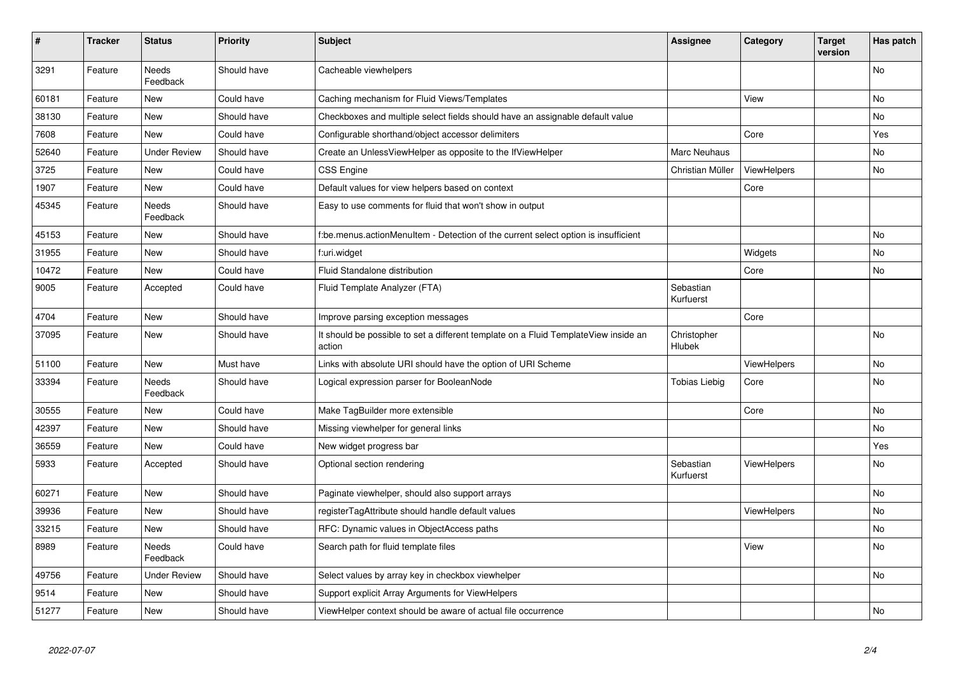| $\vert$ # | <b>Tracker</b> | <b>Status</b>            | <b>Priority</b> | <b>Subject</b>                                                                                | Assignee               | Category    | <b>Target</b><br>version | Has patch |
|-----------|----------------|--------------------------|-----------------|-----------------------------------------------------------------------------------------------|------------------------|-------------|--------------------------|-----------|
| 3291      | Feature        | <b>Needs</b><br>Feedback | Should have     | Cacheable viewhelpers                                                                         |                        |             |                          | <b>No</b> |
| 60181     | Feature        | <b>New</b>               | Could have      | Caching mechanism for Fluid Views/Templates                                                   |                        | View        |                          | <b>No</b> |
| 38130     | Feature        | <b>New</b>               | Should have     | Checkboxes and multiple select fields should have an assignable default value                 |                        |             |                          | <b>No</b> |
| 7608      | Feature        | New                      | Could have      | Configurable shorthand/object accessor delimiters                                             |                        | Core        |                          | Yes       |
| 52640     | Feature        | <b>Under Review</b>      | Should have     | Create an UnlessViewHelper as opposite to the IfViewHelper                                    | Marc Neuhaus           |             |                          | No        |
| 3725      | Feature        | <b>New</b>               | Could have      | <b>CSS Engine</b>                                                                             | Christian Müller       | ViewHelpers |                          | No        |
| 1907      | Feature        | New                      | Could have      | Default values for view helpers based on context                                              |                        | Core        |                          |           |
| 45345     | Feature        | Needs<br>Feedback        | Should have     | Easy to use comments for fluid that won't show in output                                      |                        |             |                          |           |
| 45153     | Feature        | New                      | Should have     | f:be.menus.actionMenuItem - Detection of the current select option is insufficient            |                        |             |                          | No        |
| 31955     | Feature        | <b>New</b>               | Should have     | f:uri.widget                                                                                  |                        | Widgets     |                          | <b>No</b> |
| 10472     | Feature        | <b>New</b>               | Could have      | Fluid Standalone distribution                                                                 |                        | Core        |                          | No        |
| 9005      | Feature        | Accepted                 | Could have      | Fluid Template Analyzer (FTA)                                                                 | Sebastian<br>Kurfuerst |             |                          |           |
| 4704      | Feature        | New                      | Should have     | Improve parsing exception messages                                                            |                        | Core        |                          |           |
| 37095     | Feature        | New                      | Should have     | It should be possible to set a different template on a Fluid TemplateView inside an<br>action | Christopher<br>Hlubek  |             |                          | No        |
| 51100     | Feature        | New                      | Must have       | Links with absolute URI should have the option of URI Scheme                                  |                        | ViewHelpers |                          | No        |
| 33394     | Feature        | <b>Needs</b><br>Feedback | Should have     | Logical expression parser for BooleanNode                                                     | Tobias Liebig          | Core        |                          | No        |
| 30555     | Feature        | New                      | Could have      | Make TagBuilder more extensible                                                               |                        | Core        |                          | No        |
| 42397     | Feature        | New                      | Should have     | Missing viewhelper for general links                                                          |                        |             |                          | <b>No</b> |
| 36559     | Feature        | <b>New</b>               | Could have      | New widget progress bar                                                                       |                        |             |                          | Yes       |
| 5933      | Feature        | Accepted                 | Should have     | Optional section rendering                                                                    | Sebastian<br>Kurfuerst | ViewHelpers |                          | No        |
| 60271     | Feature        | New                      | Should have     | Paginate viewhelper, should also support arrays                                               |                        |             |                          | <b>No</b> |
| 39936     | Feature        | <b>New</b>               | Should have     | registerTagAttribute should handle default values                                             |                        | ViewHelpers |                          | <b>No</b> |
| 33215     | Feature        | <b>New</b>               | Should have     | RFC: Dynamic values in ObjectAccess paths                                                     |                        |             |                          | No        |
| 8989      | Feature        | Needs<br>Feedback        | Could have      | Search path for fluid template files                                                          |                        | View        |                          | No        |
| 49756     | Feature        | Under Review             | Should have     | Select values by array key in checkbox viewhelper                                             |                        |             |                          | <b>No</b> |
| 9514      | Feature        | New                      | Should have     | Support explicit Array Arguments for ViewHelpers                                              |                        |             |                          |           |
| 51277     | Feature        | <b>New</b>               | Should have     | ViewHelper context should be aware of actual file occurrence                                  |                        |             |                          | No        |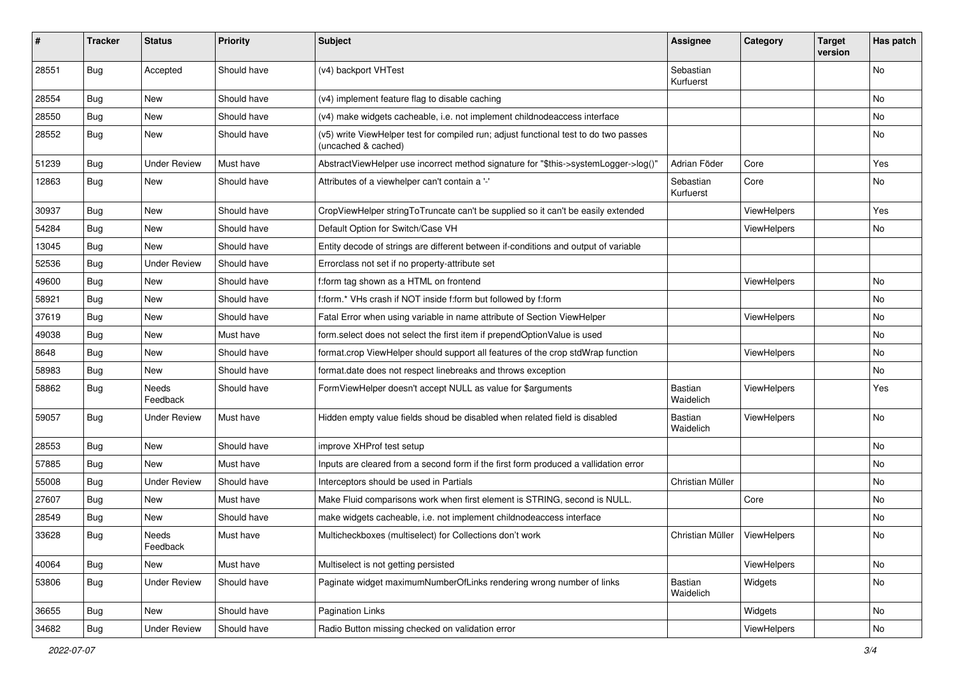| $\pmb{\#}$ | <b>Tracker</b> | <b>Status</b>       | <b>Priority</b> | <b>Subject</b>                                                                                              | <b>Assignee</b>        | Category           | <b>Target</b><br>version | Has patch |
|------------|----------------|---------------------|-----------------|-------------------------------------------------------------------------------------------------------------|------------------------|--------------------|--------------------------|-----------|
| 28551      | Bug            | Accepted            | Should have     | (v4) backport VHTest                                                                                        | Sebastian<br>Kurfuerst |                    |                          | No        |
| 28554      | Bug            | New                 | Should have     | (v4) implement feature flag to disable caching                                                              |                        |                    |                          | No        |
| 28550      | Bug            | New                 | Should have     | (v4) make widgets cacheable, i.e. not implement childnodeaccess interface                                   |                        |                    |                          | No        |
| 28552      | Bug            | New                 | Should have     | (v5) write ViewHelper test for compiled run; adjust functional test to do two passes<br>(uncached & cached) |                        |                    |                          | No        |
| 51239      | Bug            | <b>Under Review</b> | Must have       | AbstractViewHelper use incorrect method signature for "\$this->systemLogger->log()"                         | Adrian Föder           | Core               |                          | Yes       |
| 12863      | Bug            | New                 | Should have     | Attributes of a viewhelper can't contain a '-'                                                              | Sebastian<br>Kurfuerst | Core               |                          | No        |
| 30937      | Bug            | New                 | Should have     | CropViewHelper stringToTruncate can't be supplied so it can't be easily extended                            |                        | ViewHelpers        |                          | Yes       |
| 54284      | Bug            | New                 | Should have     | Default Option for Switch/Case VH                                                                           |                        | ViewHelpers        |                          | No        |
| 13045      | Bug            | <b>New</b>          | Should have     | Entity decode of strings are different between if-conditions and output of variable                         |                        |                    |                          |           |
| 52536      | Bug            | <b>Under Review</b> | Should have     | Errorclass not set if no property-attribute set                                                             |                        |                    |                          |           |
| 49600      | Bug            | <b>New</b>          | Should have     | f:form tag shown as a HTML on frontend                                                                      |                        | ViewHelpers        |                          | No        |
| 58921      | Bug            | New                 | Should have     | f:form.* VHs crash if NOT inside f:form but followed by f:form                                              |                        |                    |                          | No        |
| 37619      | Bug            | New                 | Should have     | Fatal Error when using variable in name attribute of Section ViewHelper                                     |                        | <b>ViewHelpers</b> |                          | No        |
| 49038      | Bug            | New                 | Must have       | form.select does not select the first item if prependOptionValue is used                                    |                        |                    |                          | No        |
| 8648       | <b>Bug</b>     | New                 | Should have     | format.crop ViewHelper should support all features of the crop stdWrap function                             |                        | <b>ViewHelpers</b> |                          | No        |
| 58983      | Bug            | New                 | Should have     | format.date does not respect linebreaks and throws exception                                                |                        |                    |                          | No.       |
| 58862      | <b>Bug</b>     | Needs<br>Feedback   | Should have     | FormViewHelper doesn't accept NULL as value for \$arguments                                                 | Bastian<br>Waidelich   | ViewHelpers        |                          | Yes       |
| 59057      | Bug            | <b>Under Review</b> | Must have       | Hidden empty value fields shoud be disabled when related field is disabled                                  | Bastian<br>Waidelich   | ViewHelpers        |                          | No        |
| 28553      | Bug            | New                 | Should have     | improve XHProf test setup                                                                                   |                        |                    |                          | No        |
| 57885      | Bug            | <b>New</b>          | Must have       | Inputs are cleared from a second form if the first form produced a vallidation error                        |                        |                    |                          | No        |
| 55008      | <b>Bug</b>     | <b>Under Review</b> | Should have     | Interceptors should be used in Partials                                                                     | Christian Müller       |                    |                          | No        |
| 27607      | Bug            | New                 | Must have       | Make Fluid comparisons work when first element is STRING, second is NULL.                                   |                        | Core               |                          | No        |
| 28549      | <b>Bug</b>     | New                 | Should have     | make widgets cacheable, i.e. not implement childnodeaccess interface                                        |                        |                    |                          | No        |
| 33628      | Bug            | Needs<br>Feedback   | Must have       | Multicheckboxes (multiselect) for Collections don't work                                                    | Christian Müller       | ViewHelpers        |                          | No        |
| 40064      | <b>Bug</b>     | New                 | Must have       | Multiselect is not getting persisted                                                                        |                        | ViewHelpers        |                          | No        |
| 53806      | Bug            | <b>Under Review</b> | Should have     | Paginate widget maximumNumberOfLinks rendering wrong number of links                                        | Bastian<br>Waidelich   | Widgets            |                          | No        |
| 36655      | <b>Bug</b>     | New                 | Should have     | Pagination Links                                                                                            |                        | Widgets            |                          | No        |
| 34682      | <b>Bug</b>     | <b>Under Review</b> | Should have     | Radio Button missing checked on validation error                                                            |                        | ViewHelpers        |                          | No        |